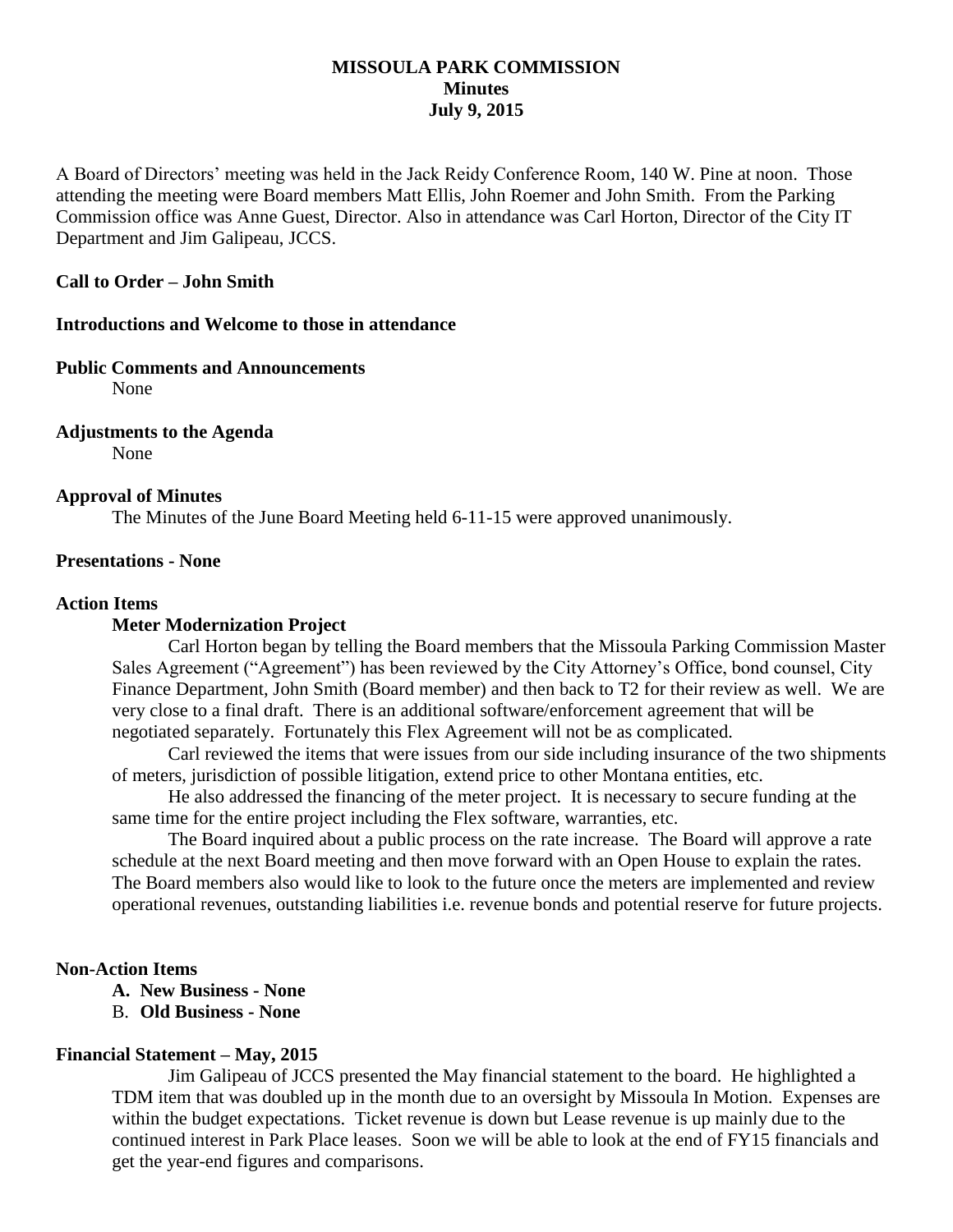# **MISSOULA PARK COMMISSION Minutes July 9, 2015**

A Board of Directors' meeting was held in the Jack Reidy Conference Room, 140 W. Pine at noon. Those attending the meeting were Board members Matt Ellis, John Roemer and John Smith. From the Parking Commission office was Anne Guest, Director. Also in attendance was Carl Horton, Director of the City IT Department and Jim Galipeau, JCCS.

# **Call to Order – John Smith**

#### **Introductions and Welcome to those in attendance**

#### **Public Comments and Announcements**

None

# **Adjustments to the Agenda**

None

#### **Approval of Minutes**

The Minutes of the June Board Meeting held 6-11-15 were approved unanimously.

#### **Presentations - None**

#### **Action Items**

#### **Meter Modernization Project**

Carl Horton began by telling the Board members that the Missoula Parking Commission Master Sales Agreement ("Agreement") has been reviewed by the City Attorney's Office, bond counsel, City Finance Department, John Smith (Board member) and then back to T2 for their review as well. We are very close to a final draft. There is an additional software/enforcement agreement that will be negotiated separately. Fortunately this Flex Agreement will not be as complicated.

Carl reviewed the items that were issues from our side including insurance of the two shipments of meters, jurisdiction of possible litigation, extend price to other Montana entities, etc.

He also addressed the financing of the meter project. It is necessary to secure funding at the same time for the entire project including the Flex software, warranties, etc.

The Board inquired about a public process on the rate increase. The Board will approve a rate schedule at the next Board meeting and then move forward with an Open House to explain the rates. The Board members also would like to look to the future once the meters are implemented and review operational revenues, outstanding liabilities i.e. revenue bonds and potential reserve for future projects.

### **Non-Action Items**

- **A. New Business - None**
- B. **Old Business - None**

## **Financial Statement – May, 2015**

Jim Galipeau of JCCS presented the May financial statement to the board. He highlighted a TDM item that was doubled up in the month due to an oversight by Missoula In Motion. Expenses are within the budget expectations. Ticket revenue is down but Lease revenue is up mainly due to the continued interest in Park Place leases. Soon we will be able to look at the end of FY15 financials and get the year-end figures and comparisons.